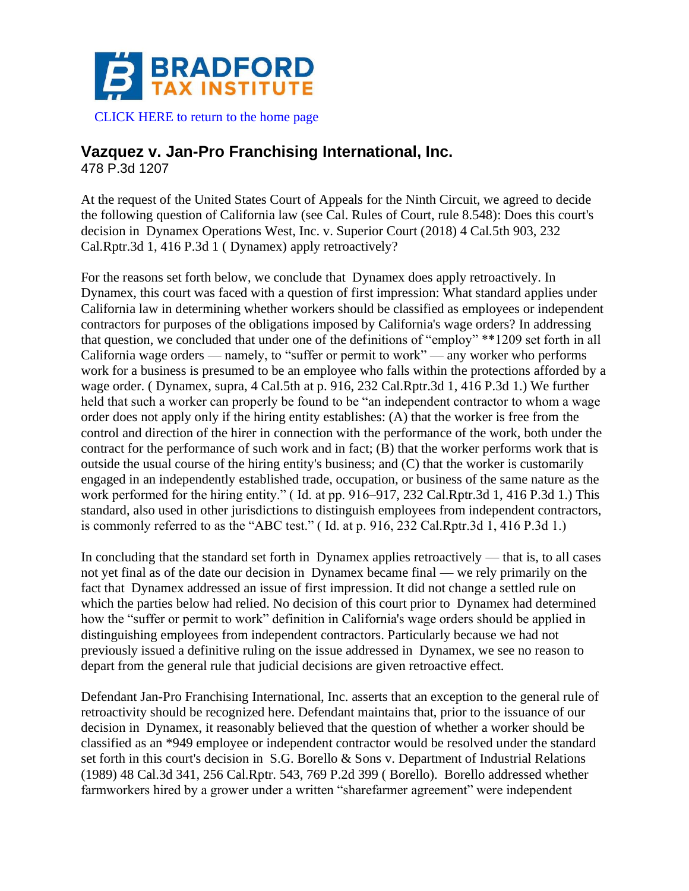

[CLICK HERE to return to the home page](https://www.bradfordtaxinstitute.com)

## **Vazquez v. Jan-Pro Franchising International, Inc.**

478 P.3d 1207

At the request of the United States Court of Appeals for the Ninth Circuit, we agreed to decide the following question of California law (see Cal. Rules of Court, rule 8.548): Does this court's decision in Dynamex Operations West, Inc. v. Superior Court (2018) 4 Cal.5th 903, 232 Cal.Rptr.3d 1, 416 P.3d 1 ( Dynamex) apply retroactively?

For the reasons set forth below, we conclude that Dynamex does apply retroactively. In Dynamex, this court was faced with a question of first impression: What standard applies under California law in determining whether workers should be classified as employees or independent contractors for purposes of the obligations imposed by California's wage orders? In addressing that question, we concluded that under one of the definitions of "employ" \*\*1209 set forth in all California wage orders — namely, to "suffer or permit to work" — any worker who performs work for a business is presumed to be an employee who falls within the protections afforded by a wage order. ( Dynamex, supra, 4 Cal.5th at p. 916, 232 Cal.Rptr.3d 1, 416 P.3d 1.) We further held that such a worker can properly be found to be "an independent contractor to whom a wage order does not apply only if the hiring entity establishes: (A) that the worker is free from the control and direction of the hirer in connection with the performance of the work, both under the contract for the performance of such work and in fact; (B) that the worker performs work that is outside the usual course of the hiring entity's business; and (C) that the worker is customarily engaged in an independently established trade, occupation, or business of the same nature as the work performed for the hiring entity." ( Id. at pp. 916–917, 232 Cal.Rptr.3d 1, 416 P.3d 1.) This standard, also used in other jurisdictions to distinguish employees from independent contractors, is commonly referred to as the "ABC test." ( Id. at p. 916, 232 Cal.Rptr.3d 1, 416 P.3d 1.)

In concluding that the standard set forth in Dynamex applies retroactively — that is, to all cases not yet final as of the date our decision in Dynamex became final — we rely primarily on the fact that Dynamex addressed an issue of first impression. It did not change a settled rule on which the parties below had relied. No decision of this court prior to Dynamex had determined how the "suffer or permit to work" definition in California's wage orders should be applied in distinguishing employees from independent contractors. Particularly because we had not previously issued a definitive ruling on the issue addressed in Dynamex, we see no reason to depart from the general rule that judicial decisions are given retroactive effect.

Defendant Jan-Pro Franchising International, Inc. asserts that an exception to the general rule of retroactivity should be recognized here. Defendant maintains that, prior to the issuance of our decision in Dynamex, it reasonably believed that the question of whether a worker should be classified as an \*949 employee or independent contractor would be resolved under the standard set forth in this court's decision in S.G. Borello & Sons v. Department of Industrial Relations (1989) 48 Cal.3d 341, 256 Cal.Rptr. 543, 769 P.2d 399 ( Borello). Borello addressed whether farmworkers hired by a grower under a written "sharefarmer agreement" were independent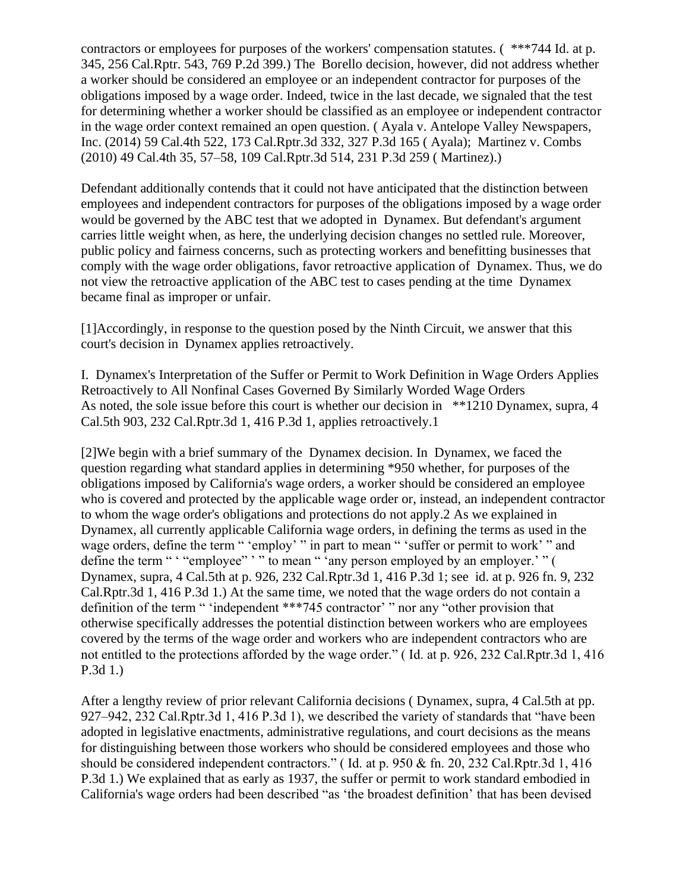contractors or employees for purposes of the workers' compensation statutes. ( \*\*\*744 Id. at p. 345, 256 Cal.Rptr. 543, 769 P.2d 399.) The Borello decision, however, did not address whether a worker should be considered an employee or an independent contractor for purposes of the obligations imposed by a wage order. Indeed, twice in the last decade, we signaled that the test for determining whether a worker should be classified as an employee or independent contractor in the wage order context remained an open question. ( Ayala v. Antelope Valley Newspapers, Inc. (2014) 59 Cal.4th 522, 173 Cal.Rptr.3d 332, 327 P.3d 165 ( Ayala); Martinez v. Combs (2010) 49 Cal.4th 35, 57–58, 109 Cal.Rptr.3d 514, 231 P.3d 259 ( Martinez).)

Defendant additionally contends that it could not have anticipated that the distinction between employees and independent contractors for purposes of the obligations imposed by a wage order would be governed by the ABC test that we adopted in Dynamex. But defendant's argument carries little weight when, as here, the underlying decision changes no settled rule. Moreover, public policy and fairness concerns, such as protecting workers and benefitting businesses that comply with the wage order obligations, favor retroactive application of Dynamex. Thus, we do not view the retroactive application of the ABC test to cases pending at the time Dynamex became final as improper or unfair.

[1]Accordingly, in response to the question posed by the Ninth Circuit, we answer that this court's decision in Dynamex applies retroactively.

I. Dynamex's Interpretation of the Suffer or Permit to Work Definition in Wage Orders Applies Retroactively to All Nonfinal Cases Governed By Similarly Worded Wage Orders As noted, the sole issue before this court is whether our decision in \*\*1210 Dynamex, supra, 4 Cal.5th 903, 232 Cal.Rptr.3d 1, 416 P.3d 1, applies retroactively.1

[2]We begin with a brief summary of the Dynamex decision. In Dynamex, we faced the question regarding what standard applies in determining \*950 whether, for purposes of the obligations imposed by California's wage orders, a worker should be considered an employee who is covered and protected by the applicable wage order or, instead, an independent contractor to whom the wage order's obligations and protections do not apply.2 As we explained in Dynamex, all currently applicable California wage orders, in defining the terms as used in the wage orders, define the term " 'employ' " in part to mean " 'suffer or permit to work' " and define the term " " "employee" ' " to mean " 'any person employed by an employer.' " ( Dynamex, supra, 4 Cal.5th at p. 926, 232 Cal.Rptr.3d 1, 416 P.3d 1; see id. at p. 926 fn. 9, 232 Cal.Rptr.3d 1, 416 P.3d 1.) At the same time, we noted that the wage orders do not contain a definition of the term " 'independent \*\*\*745 contractor' " nor any "other provision that otherwise specifically addresses the potential distinction between workers who are employees covered by the terms of the wage order and workers who are independent contractors who are not entitled to the protections afforded by the wage order." ( Id. at p. 926, 232 Cal.Rptr.3d 1, 416 P.3d 1.)

After a lengthy review of prior relevant California decisions ( Dynamex, supra, 4 Cal.5th at pp. 927–942, 232 Cal.Rptr.3d 1, 416 P.3d 1), we described the variety of standards that "have been adopted in legislative enactments, administrative regulations, and court decisions as the means for distinguishing between those workers who should be considered employees and those who should be considered independent contractors." ( Id. at p. 950 & fn. 20, 232 Cal.Rptr.3d 1, 416 P.3d 1.) We explained that as early as 1937, the suffer or permit to work standard embodied in California's wage orders had been described "as 'the broadest definition' that has been devised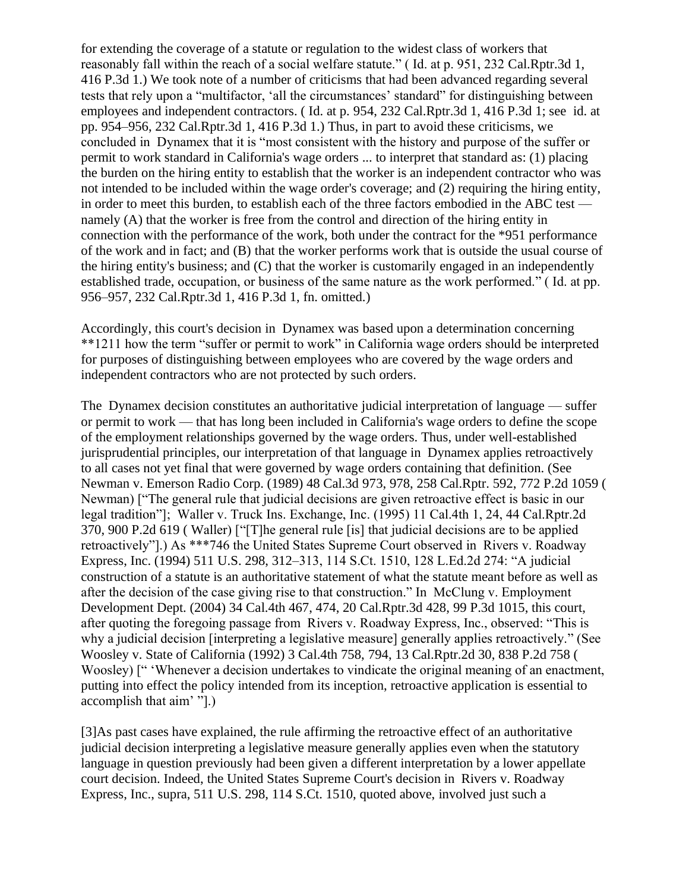for extending the coverage of a statute or regulation to the widest class of workers that reasonably fall within the reach of a social welfare statute." ( Id. at p. 951, 232 Cal.Rptr.3d 1, 416 P.3d 1.) We took note of a number of criticisms that had been advanced regarding several tests that rely upon a "multifactor, 'all the circumstances' standard" for distinguishing between employees and independent contractors. ( Id. at p. 954, 232 Cal.Rptr.3d 1, 416 P.3d 1; see id. at pp. 954–956, 232 Cal.Rptr.3d 1, 416 P.3d 1.) Thus, in part to avoid these criticisms, we concluded in Dynamex that it is "most consistent with the history and purpose of the suffer or permit to work standard in California's wage orders ... to interpret that standard as: (1) placing the burden on the hiring entity to establish that the worker is an independent contractor who was not intended to be included within the wage order's coverage; and (2) requiring the hiring entity, in order to meet this burden, to establish each of the three factors embodied in the ABC test namely (A) that the worker is free from the control and direction of the hiring entity in connection with the performance of the work, both under the contract for the \*951 performance of the work and in fact; and (B) that the worker performs work that is outside the usual course of the hiring entity's business; and (C) that the worker is customarily engaged in an independently established trade, occupation, or business of the same nature as the work performed." ( Id. at pp. 956–957, 232 Cal.Rptr.3d 1, 416 P.3d 1, fn. omitted.)

Accordingly, this court's decision in Dynamex was based upon a determination concerning \*\*1211 how the term "suffer or permit to work" in California wage orders should be interpreted for purposes of distinguishing between employees who are covered by the wage orders and independent contractors who are not protected by such orders.

The Dynamex decision constitutes an authoritative judicial interpretation of language — suffer or permit to work — that has long been included in California's wage orders to define the scope of the employment relationships governed by the wage orders. Thus, under well-established jurisprudential principles, our interpretation of that language in Dynamex applies retroactively to all cases not yet final that were governed by wage orders containing that definition. (See Newman v. Emerson Radio Corp. (1989) 48 Cal.3d 973, 978, 258 Cal.Rptr. 592, 772 P.2d 1059 ( Newman) ["The general rule that judicial decisions are given retroactive effect is basic in our legal tradition"]; Waller v. Truck Ins. Exchange, Inc. (1995) 11 Cal.4th 1, 24, 44 Cal.Rptr.2d 370, 900 P.2d 619 ( Waller) ["[T]he general rule [is] that judicial decisions are to be applied retroactively"].) As \*\*\*746 the United States Supreme Court observed in Rivers v. Roadway Express, Inc. (1994) 511 U.S. 298, 312–313, 114 S.Ct. 1510, 128 L.Ed.2d 274: "A judicial construction of a statute is an authoritative statement of what the statute meant before as well as after the decision of the case giving rise to that construction." In McClung v. Employment Development Dept. (2004) 34 Cal.4th 467, 474, 20 Cal.Rptr.3d 428, 99 P.3d 1015, this court, after quoting the foregoing passage from Rivers v. Roadway Express, Inc., observed: "This is why a judicial decision [interpreting a legislative measure] generally applies retroactively." (See Woosley v. State of California (1992) 3 Cal.4th 758, 794, 13 Cal.Rptr.2d 30, 838 P.2d 758 ( Woosley) [" 'Whenever a decision undertakes to vindicate the original meaning of an enactment, putting into effect the policy intended from its inception, retroactive application is essential to accomplish that aim' "].)

[3]As past cases have explained, the rule affirming the retroactive effect of an authoritative judicial decision interpreting a legislative measure generally applies even when the statutory language in question previously had been given a different interpretation by a lower appellate court decision. Indeed, the United States Supreme Court's decision in Rivers v. Roadway Express, Inc., supra, 511 U.S. 298, 114 S.Ct. 1510, quoted above, involved just such a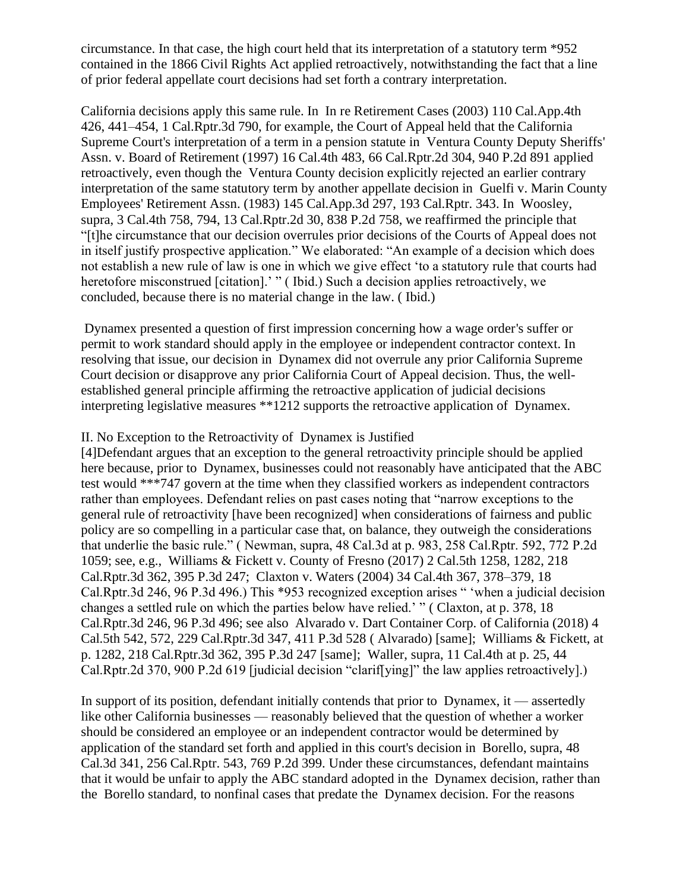circumstance. In that case, the high court held that its interpretation of a statutory term \*952 contained in the 1866 Civil Rights Act applied retroactively, notwithstanding the fact that a line of prior federal appellate court decisions had set forth a contrary interpretation.

California decisions apply this same rule. In In re Retirement Cases (2003) 110 Cal.App.4th 426, 441–454, 1 Cal.Rptr.3d 790, for example, the Court of Appeal held that the California Supreme Court's interpretation of a term in a pension statute in Ventura County Deputy Sheriffs' Assn. v. Board of Retirement (1997) 16 Cal.4th 483, 66 Cal.Rptr.2d 304, 940 P.2d 891 applied retroactively, even though the Ventura County decision explicitly rejected an earlier contrary interpretation of the same statutory term by another appellate decision in Guelfi v. Marin County Employees' Retirement Assn. (1983) 145 Cal.App.3d 297, 193 Cal.Rptr. 343. In Woosley, supra, 3 Cal.4th 758, 794, 13 Cal.Rptr.2d 30, 838 P.2d 758, we reaffirmed the principle that "[t]he circumstance that our decision overrules prior decisions of the Courts of Appeal does not in itself justify prospective application." We elaborated: "An example of a decision which does not establish a new rule of law is one in which we give effect 'to a statutory rule that courts had heretofore misconstrued [citation].' " (Ibid.) Such a decision applies retroactively, we concluded, because there is no material change in the law. ( Ibid.)

Dynamex presented a question of first impression concerning how a wage order's suffer or permit to work standard should apply in the employee or independent contractor context. In resolving that issue, our decision in Dynamex did not overrule any prior California Supreme Court decision or disapprove any prior California Court of Appeal decision. Thus, the wellestablished general principle affirming the retroactive application of judicial decisions interpreting legislative measures \*\*1212 supports the retroactive application of Dynamex.

## II. No Exception to the Retroactivity of Dynamex is Justified

[4]Defendant argues that an exception to the general retroactivity principle should be applied here because, prior to Dynamex, businesses could not reasonably have anticipated that the ABC test would \*\*\*747 govern at the time when they classified workers as independent contractors rather than employees. Defendant relies on past cases noting that "narrow exceptions to the general rule of retroactivity [have been recognized] when considerations of fairness and public policy are so compelling in a particular case that, on balance, they outweigh the considerations that underlie the basic rule." ( Newman, supra, 48 Cal.3d at p. 983, 258 Cal.Rptr. 592, 772 P.2d 1059; see, e.g., Williams & Fickett v. County of Fresno (2017) 2 Cal.5th 1258, 1282, 218 Cal.Rptr.3d 362, 395 P.3d 247; Claxton v. Waters (2004) 34 Cal.4th 367, 378–379, 18 Cal.Rptr.3d 246, 96 P.3d 496.) This \*953 recognized exception arises " 'when a judicial decision changes a settled rule on which the parties below have relied.' " ( Claxton, at p. 378, 18 Cal.Rptr.3d 246, 96 P.3d 496; see also Alvarado v. Dart Container Corp. of California (2018) 4 Cal.5th 542, 572, 229 Cal.Rptr.3d 347, 411 P.3d 528 ( Alvarado) [same]; Williams & Fickett, at p. 1282, 218 Cal.Rptr.3d 362, 395 P.3d 247 [same]; Waller, supra, 11 Cal.4th at p. 25, 44 Cal.Rptr.2d 370, 900 P.2d 619 [judicial decision "clarif[ying]" the law applies retroactively].)

In support of its position, defendant initially contends that prior to Dynamex, it — assertedly like other California businesses — reasonably believed that the question of whether a worker should be considered an employee or an independent contractor would be determined by application of the standard set forth and applied in this court's decision in Borello, supra, 48 Cal.3d 341, 256 Cal.Rptr. 543, 769 P.2d 399. Under these circumstances, defendant maintains that it would be unfair to apply the ABC standard adopted in the Dynamex decision, rather than the Borello standard, to nonfinal cases that predate the Dynamex decision. For the reasons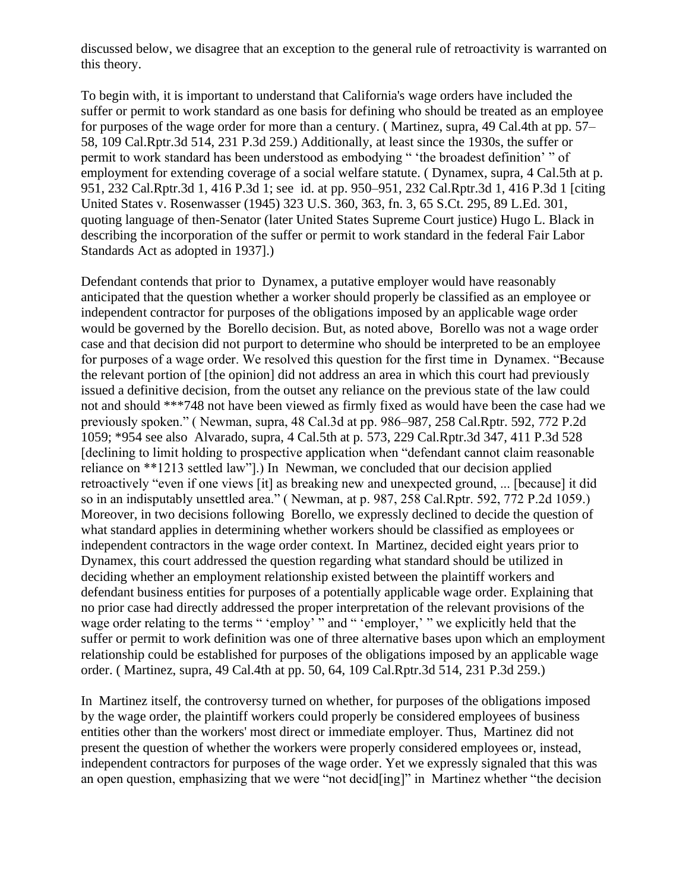discussed below, we disagree that an exception to the general rule of retroactivity is warranted on this theory.

To begin with, it is important to understand that California's wage orders have included the suffer or permit to work standard as one basis for defining who should be treated as an employee for purposes of the wage order for more than a century. ( Martinez, supra, 49 Cal.4th at pp. 57– 58, 109 Cal.Rptr.3d 514, 231 P.3d 259.) Additionally, at least since the 1930s, the suffer or permit to work standard has been understood as embodying " 'the broadest definition' " of employment for extending coverage of a social welfare statute. ( Dynamex, supra, 4 Cal.5th at p. 951, 232 Cal.Rptr.3d 1, 416 P.3d 1; see id. at pp. 950–951, 232 Cal.Rptr.3d 1, 416 P.3d 1 [citing United States v. Rosenwasser (1945) 323 U.S. 360, 363, fn. 3, 65 S.Ct. 295, 89 L.Ed. 301, quoting language of then-Senator (later United States Supreme Court justice) Hugo L. Black in describing the incorporation of the suffer or permit to work standard in the federal Fair Labor Standards Act as adopted in 1937].)

Defendant contends that prior to Dynamex, a putative employer would have reasonably anticipated that the question whether a worker should properly be classified as an employee or independent contractor for purposes of the obligations imposed by an applicable wage order would be governed by the Borello decision. But, as noted above, Borello was not a wage order case and that decision did not purport to determine who should be interpreted to be an employee for purposes of a wage order. We resolved this question for the first time in Dynamex. "Because the relevant portion of [the opinion] did not address an area in which this court had previously issued a definitive decision, from the outset any reliance on the previous state of the law could not and should \*\*\*748 not have been viewed as firmly fixed as would have been the case had we previously spoken." ( Newman, supra, 48 Cal.3d at pp. 986–987, 258 Cal.Rptr. 592, 772 P.2d 1059; \*954 see also Alvarado, supra, 4 Cal.5th at p. 573, 229 Cal.Rptr.3d 347, 411 P.3d 528 [declining to limit holding to prospective application when "defendant cannot claim reasonable reliance on \*\*1213 settled law"].) In Newman, we concluded that our decision applied retroactively "even if one views [it] as breaking new and unexpected ground, ... [because] it did so in an indisputably unsettled area." ( Newman, at p. 987, 258 Cal.Rptr. 592, 772 P.2d 1059.) Moreover, in two decisions following Borello, we expressly declined to decide the question of what standard applies in determining whether workers should be classified as employees or independent contractors in the wage order context. In Martinez, decided eight years prior to Dynamex, this court addressed the question regarding what standard should be utilized in deciding whether an employment relationship existed between the plaintiff workers and defendant business entities for purposes of a potentially applicable wage order. Explaining that no prior case had directly addressed the proper interpretation of the relevant provisions of the wage order relating to the terms " 'employ' " and " 'employer,' " we explicitly held that the suffer or permit to work definition was one of three alternative bases upon which an employment relationship could be established for purposes of the obligations imposed by an applicable wage order. ( Martinez, supra, 49 Cal.4th at pp. 50, 64, 109 Cal.Rptr.3d 514, 231 P.3d 259.)

In Martinez itself, the controversy turned on whether, for purposes of the obligations imposed by the wage order, the plaintiff workers could properly be considered employees of business entities other than the workers' most direct or immediate employer. Thus, Martinez did not present the question of whether the workers were properly considered employees or, instead, independent contractors for purposes of the wage order. Yet we expressly signaled that this was an open question, emphasizing that we were "not decid[ing]" in Martinez whether "the decision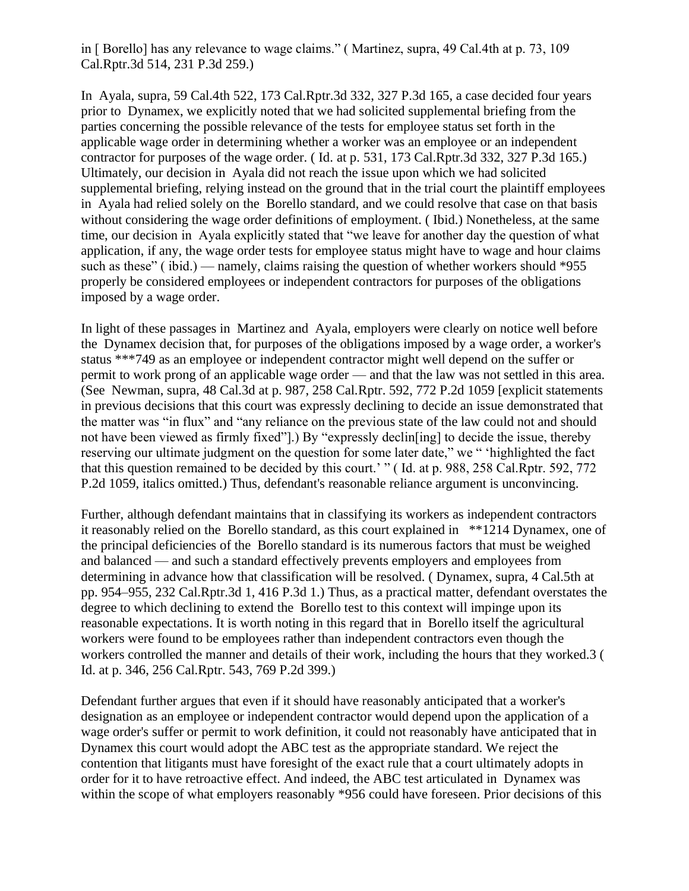in [ Borello] has any relevance to wage claims." ( Martinez, supra, 49 Cal.4th at p. 73, 109 Cal.Rptr.3d 514, 231 P.3d 259.)

In Ayala, supra, 59 Cal.4th 522, 173 Cal.Rptr.3d 332, 327 P.3d 165, a case decided four years prior to Dynamex, we explicitly noted that we had solicited supplemental briefing from the parties concerning the possible relevance of the tests for employee status set forth in the applicable wage order in determining whether a worker was an employee or an independent contractor for purposes of the wage order. ( Id. at p. 531, 173 Cal.Rptr.3d 332, 327 P.3d 165.) Ultimately, our decision in Ayala did not reach the issue upon which we had solicited supplemental briefing, relying instead on the ground that in the trial court the plaintiff employees in Ayala had relied solely on the Borello standard, and we could resolve that case on that basis without considering the wage order definitions of employment. ( Ibid.) Nonetheless, at the same time, our decision in Ayala explicitly stated that "we leave for another day the question of what application, if any, the wage order tests for employee status might have to wage and hour claims such as these" (ibid.) — namely, claims raising the question of whether workers should \*955 properly be considered employees or independent contractors for purposes of the obligations imposed by a wage order.

In light of these passages in Martinez and Ayala, employers were clearly on notice well before the Dynamex decision that, for purposes of the obligations imposed by a wage order, a worker's status \*\*\*749 as an employee or independent contractor might well depend on the suffer or permit to work prong of an applicable wage order — and that the law was not settled in this area. (See Newman, supra, 48 Cal.3d at p. 987, 258 Cal.Rptr. 592, 772 P.2d 1059 [explicit statements in previous decisions that this court was expressly declining to decide an issue demonstrated that the matter was "in flux" and "any reliance on the previous state of the law could not and should not have been viewed as firmly fixed"].) By "expressly declin[ing] to decide the issue, thereby reserving our ultimate judgment on the question for some later date," we " 'highlighted the fact that this question remained to be decided by this court.' " ( Id. at p. 988, 258 Cal.Rptr. 592, 772 P.2d 1059, italics omitted.) Thus, defendant's reasonable reliance argument is unconvincing.

Further, although defendant maintains that in classifying its workers as independent contractors it reasonably relied on the Borello standard, as this court explained in \*\*1214 Dynamex, one of the principal deficiencies of the Borello standard is its numerous factors that must be weighed and balanced — and such a standard effectively prevents employers and employees from determining in advance how that classification will be resolved. ( Dynamex, supra, 4 Cal.5th at pp. 954–955, 232 Cal.Rptr.3d 1, 416 P.3d 1.) Thus, as a practical matter, defendant overstates the degree to which declining to extend the Borello test to this context will impinge upon its reasonable expectations. It is worth noting in this regard that in Borello itself the agricultural workers were found to be employees rather than independent contractors even though the workers controlled the manner and details of their work, including the hours that they worked.3 ( Id. at p. 346, 256 Cal.Rptr. 543, 769 P.2d 399.)

Defendant further argues that even if it should have reasonably anticipated that a worker's designation as an employee or independent contractor would depend upon the application of a wage order's suffer or permit to work definition, it could not reasonably have anticipated that in Dynamex this court would adopt the ABC test as the appropriate standard. We reject the contention that litigants must have foresight of the exact rule that a court ultimately adopts in order for it to have retroactive effect. And indeed, the ABC test articulated in Dynamex was within the scope of what employers reasonably \*956 could have foreseen. Prior decisions of this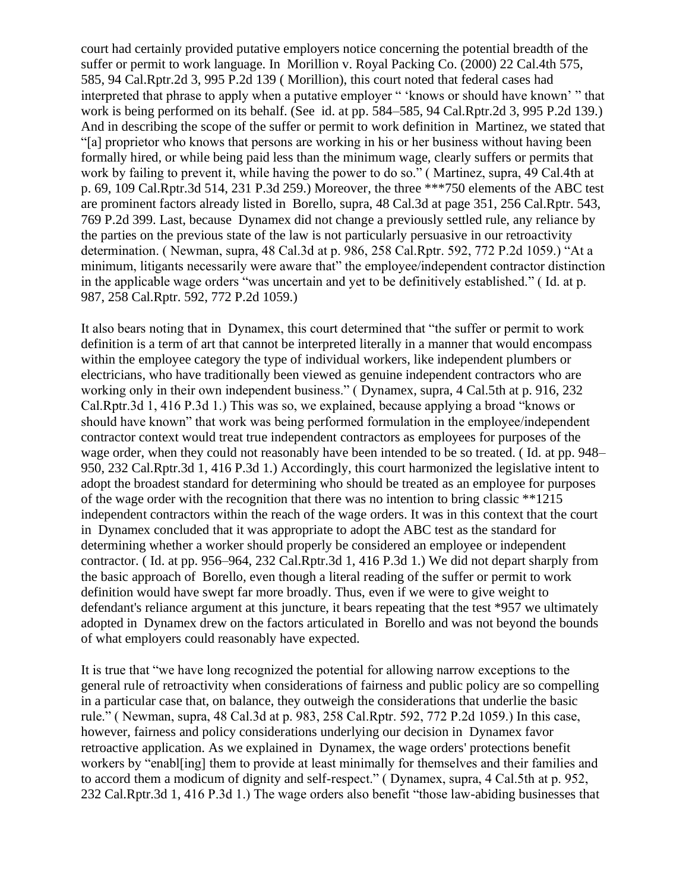court had certainly provided putative employers notice concerning the potential breadth of the suffer or permit to work language. In Morillion v. Royal Packing Co. (2000) 22 Cal.4th 575, 585, 94 Cal.Rptr.2d 3, 995 P.2d 139 ( Morillion), this court noted that federal cases had interpreted that phrase to apply when a putative employer " 'knows or should have known' " that work is being performed on its behalf. (See id. at pp. 584–585, 94 Cal.Rptr.2d 3, 995 P.2d 139.) And in describing the scope of the suffer or permit to work definition in Martinez, we stated that "[a] proprietor who knows that persons are working in his or her business without having been formally hired, or while being paid less than the minimum wage, clearly suffers or permits that work by failing to prevent it, while having the power to do so." ( Martinez, supra, 49 Cal.4th at p. 69, 109 Cal.Rptr.3d 514, 231 P.3d 259.) Moreover, the three \*\*\*750 elements of the ABC test are prominent factors already listed in Borello, supra, 48 Cal.3d at page 351, 256 Cal.Rptr. 543, 769 P.2d 399. Last, because Dynamex did not change a previously settled rule, any reliance by the parties on the previous state of the law is not particularly persuasive in our retroactivity determination. ( Newman, supra, 48 Cal.3d at p. 986, 258 Cal.Rptr. 592, 772 P.2d 1059.) "At a minimum, litigants necessarily were aware that" the employee/independent contractor distinction in the applicable wage orders "was uncertain and yet to be definitively established." ( Id. at p. 987, 258 Cal.Rptr. 592, 772 P.2d 1059.)

It also bears noting that in Dynamex, this court determined that "the suffer or permit to work definition is a term of art that cannot be interpreted literally in a manner that would encompass within the employee category the type of individual workers, like independent plumbers or electricians, who have traditionally been viewed as genuine independent contractors who are working only in their own independent business." ( Dynamex, supra, 4 Cal.5th at p. 916, 232 Cal.Rptr.3d 1, 416 P.3d 1.) This was so, we explained, because applying a broad "knows or should have known" that work was being performed formulation in the employee/independent contractor context would treat true independent contractors as employees for purposes of the wage order, when they could not reasonably have been intended to be so treated. ( Id. at pp. 948– 950, 232 Cal.Rptr.3d 1, 416 P.3d 1.) Accordingly, this court harmonized the legislative intent to adopt the broadest standard for determining who should be treated as an employee for purposes of the wage order with the recognition that there was no intention to bring classic \*\*1215 independent contractors within the reach of the wage orders. It was in this context that the court in Dynamex concluded that it was appropriate to adopt the ABC test as the standard for determining whether a worker should properly be considered an employee or independent contractor. ( Id. at pp. 956–964, 232 Cal.Rptr.3d 1, 416 P.3d 1.) We did not depart sharply from the basic approach of Borello, even though a literal reading of the suffer or permit to work definition would have swept far more broadly. Thus, even if we were to give weight to defendant's reliance argument at this juncture, it bears repeating that the test \*957 we ultimately adopted in Dynamex drew on the factors articulated in Borello and was not beyond the bounds of what employers could reasonably have expected.

It is true that "we have long recognized the potential for allowing narrow exceptions to the general rule of retroactivity when considerations of fairness and public policy are so compelling in a particular case that, on balance, they outweigh the considerations that underlie the basic rule." ( Newman, supra, 48 Cal.3d at p. 983, 258 Cal.Rptr. 592, 772 P.2d 1059.) In this case, however, fairness and policy considerations underlying our decision in Dynamex favor retroactive application. As we explained in Dynamex, the wage orders' protections benefit workers by "enabl[ing] them to provide at least minimally for themselves and their families and to accord them a modicum of dignity and self-respect." ( Dynamex, supra, 4 Cal.5th at p. 952, 232 Cal.Rptr.3d 1, 416 P.3d 1.) The wage orders also benefit "those law-abiding businesses that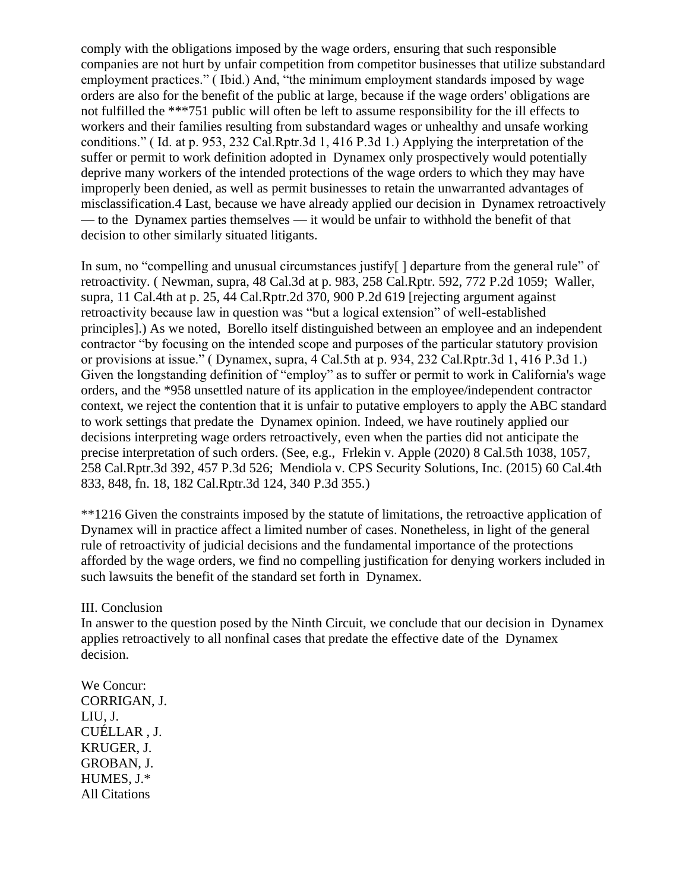comply with the obligations imposed by the wage orders, ensuring that such responsible companies are not hurt by unfair competition from competitor businesses that utilize substandard employment practices." ( Ibid.) And, "the minimum employment standards imposed by wage orders are also for the benefit of the public at large, because if the wage orders' obligations are not fulfilled the \*\*\*751 public will often be left to assume responsibility for the ill effects to workers and their families resulting from substandard wages or unhealthy and unsafe working conditions." ( Id. at p. 953, 232 Cal.Rptr.3d 1, 416 P.3d 1.) Applying the interpretation of the suffer or permit to work definition adopted in Dynamex only prospectively would potentially deprive many workers of the intended protections of the wage orders to which they may have improperly been denied, as well as permit businesses to retain the unwarranted advantages of misclassification.4 Last, because we have already applied our decision in Dynamex retroactively — to the Dynamex parties themselves — it would be unfair to withhold the benefit of that decision to other similarly situated litigants.

In sum, no "compelling and unusual circumstances justify<sup>[]</sup> departure from the general rule" of retroactivity. ( Newman, supra, 48 Cal.3d at p. 983, 258 Cal.Rptr. 592, 772 P.2d 1059; Waller, supra, 11 Cal.4th at p. 25, 44 Cal.Rptr.2d 370, 900 P.2d 619 [rejecting argument against retroactivity because law in question was "but a logical extension" of well-established principles].) As we noted, Borello itself distinguished between an employee and an independent contractor "by focusing on the intended scope and purposes of the particular statutory provision or provisions at issue." ( Dynamex, supra, 4 Cal.5th at p. 934, 232 Cal.Rptr.3d 1, 416 P.3d 1.) Given the longstanding definition of "employ" as to suffer or permit to work in California's wage orders, and the \*958 unsettled nature of its application in the employee/independent contractor context, we reject the contention that it is unfair to putative employers to apply the ABC standard to work settings that predate the Dynamex opinion. Indeed, we have routinely applied our decisions interpreting wage orders retroactively, even when the parties did not anticipate the precise interpretation of such orders. (See, e.g., Frlekin v. Apple (2020) 8 Cal.5th 1038, 1057, 258 Cal.Rptr.3d 392, 457 P.3d 526; Mendiola v. CPS Security Solutions, Inc. (2015) 60 Cal.4th 833, 848, fn. 18, 182 Cal.Rptr.3d 124, 340 P.3d 355.)

\*\*1216 Given the constraints imposed by the statute of limitations, the retroactive application of Dynamex will in practice affect a limited number of cases. Nonetheless, in light of the general rule of retroactivity of judicial decisions and the fundamental importance of the protections afforded by the wage orders, we find no compelling justification for denying workers included in such lawsuits the benefit of the standard set forth in Dynamex.

## III. Conclusion

In answer to the question posed by the Ninth Circuit, we conclude that our decision in Dynamex applies retroactively to all nonfinal cases that predate the effective date of the Dynamex decision.

We Concur: CORRIGAN, J. LIU, J. CUÉLLAR , J. KRUGER, J. GROBAN, J. HUMES, J.\* All Citations